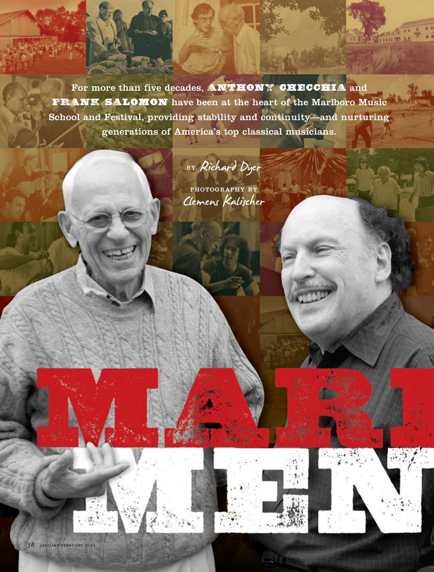For more than five decades, **ANTHONY CHECCHIA** and **Frank Salomon** have been at the heart of the Marlboro Music School and Festival, providing stability and continuity—and nurturing generations of America's top classical musicians.

## BY Richard Dyer

PHOTOGRAPHY BY Clemens Kalischer

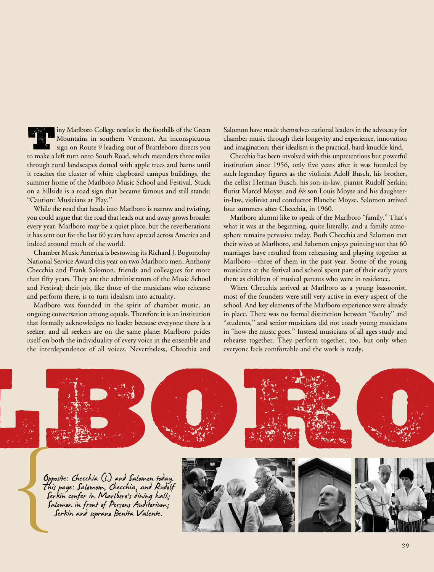**Times Marlboro College nestles in the foothills of the Green Mountains in southern Vermont. An inconspicuous sign on Route 9 leading out of Brattleboro directs you** Mountains in southern Vermont. An inconspicuous to make a left turn onto South Road, which meanders three miles through rural landscapes dotted with apple trees and barns until it reaches the cluster of white clapboard campus buildings, the summer home of the Marlboro Music School and Festival. Stuck on a hillside is a road sign that became famous and still stands: "Caution: Musicians at Play.''

While the road that heads into Marlboro is narrow and twisting, you could argue that the road that leads out and away grows broader every year. Marlboro may be a quiet place, but the reverberations it has sent out for the last 60 years have spread across America and indeed around much of the world.

Chamber Music America is bestowing its Richard J. Bogomolny National Service Award this year on two Marlboro men, Anthony Checchia and Frank Salomon, friends and colleagues for more than fifty years. They are the administrators of the Music School and Festival; their job, like those of the musicians who rehearse and perform there, is to turn idealism into actuality.

Marlboro was founded in the spirit of chamber music, an ongoing conversation among equals. Therefore it is an institution that formally acknowledges no leader because everyone there is a seeker, and all seekers are on the same plane: Marlboro prides itself on both the individuality of every voice in the ensemble and the interdependence of all voices. Nevertheless, Checchia and

Salomon have made themselves national leaders in the advocacy for chamber music through their longevity and experience, innovation and imagination; their idealism is the practical, hard-knuckle kind.

Checchia has been involved with this unpretentious but powerful institution since 1956, only five years after it was founded by such legendary figures as the violinist Adolf Busch, his brother, the cellist Herman Busch, his son-in-law, pianist Rudolf Serkin; flutist Marcel Moyse, and *his* son Louis Moyse and his daughterin-law, violinist and conductor Blanche Moyse. Salomon arrived four summers after Checchia, in 1960.

Marlboro alumni like to speak of the Marlboro "family." That's what it was at the beginning, quite literally, and a family atmosphere remains pervasive today. Both Checchia and Salomon met their wives at Marlboro, and Salomon enjoys pointing out that 60 marriages have resulted from rehearsing and playing together at Marlboro—three of them in the past year. Some of the young musicians at the festival and school spent part of their early years there as children of musical parents who were in residence.

When Checchia arrived at Marlboro as a young bassoonist, most of the founders were still very active in every aspect of the school. And key elements of the Marlboro experience were already in place. There was no formal distinction between "faculty'' and "students,'' and senior musicians did not coach young musicians in "how the music goes.'' Instead musicians of all ages study and rehearse together. They perform together, too, but only when everyone feels comfortable and the work is ready.

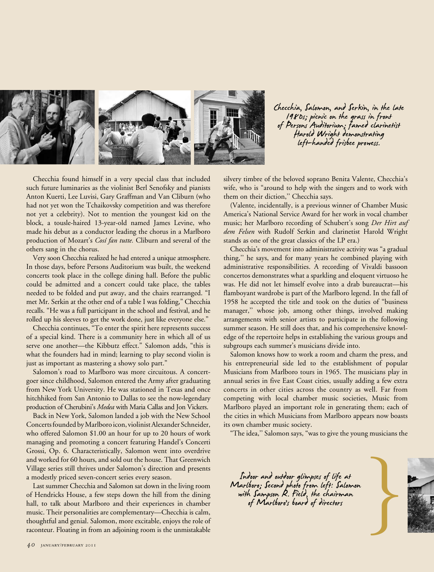

Checchia, Salomon, and Serkin, in the late<br>1980s; picnic on the grass in front<br>of Persons Auditorium; famed clarinetist<br>Harold Wright demonstrating<br>left–handed frisbee prowess.

Checchia found himself in a very special class that included such future luminaries as the violinist Berl Senofsky and pianists Anton Kuerti, Lee Luvisi, Gary Graffman and Van Cliburn (who had not yet won the Tchaikovsky competition and was therefore not yet a celebrity). Not to mention the youngest kid on the block, a tousle-haired 13-year-old named James Levine, who made his debut as a conductor leading the chorus in a Marlboro production of Mozart's *Cosí fan tutte.* Cliburn and several of the others sang in the chorus.

Very soon Checchia realized he had entered a unique atmosphere. In those days, before Persons Auditorium was built, the weekend concerts took place in the college dining hall. Before the public could be admitted and a concert could take place, the tables needed to be folded and put away, and the chairs rearranged. "I met Mr. Serkin at the other end of a table I was folding," Checchia recalls. "He was a full participant in the school and festival, and he rolled up his sleeves to get the work done, just like everyone else."

Checchia continues, "To enter the spirit here represents success of a special kind. There is a community here in which all of us serve one another—the Kibbutz effect." Salomon adds, "this is what the founders had in mind; learning to play second violin is just as important as mastering a showy solo part."

Salomon's road to Marlboro was more circuitous. A concertgoer since childhood, Salomon entered the Army after graduating from New York University. He was stationed in Texas and once hitchhiked from San Antonio to Dallas to see the now-legendary production of Cherubini's *Medea* with Maria Callas and Jon Vickers.

Back in New York, Salomon landed a job with the New School Concerts founded by Marlboro icon, violinist Alexander Schneider, who offered Salomon \$1.00 an hour for up to 20 hours of work managing and promoting a concert featuring Handel's Concerti Grossi, Op. 6. Characteristically, Salomon went into overdrive and worked for 60 hours, and sold out the house. That Greenwich Village series still thrives under Salomon's direction and presents a modestly priced seven-concert series every season.

Last summer Checchia and Salomon sat down in the living room of Hendricks House, a few steps down the hill from the dining hall, to talk about Marlboro and their experiences in chamber music. Their personalities are complementary—Checchia is calm, thoughtful and genial. Salomon, more excitable, enjoys the role of raconteur. Floating in from an adjoining room is the unmistakable

silvery timbre of the beloved soprano Benita Valente, Checchia's wife, who is "around to help with the singers and to work with them on their diction,'' Checchia says.

(Valente, incidentally, is a previous winner of Chamber Music America's National Service Award for her work in vocal chamber music; her Marlboro recording of Schubert's song *Der Hirt auf dem Felsen* with Rudolf Serkin and clarinetist Harold Wright stands as one of the great classics of the LP era.)

Checchia's movement into administrative activity was "a gradual thing,'' he says, and for many years he combined playing with administrative responsibilities. A recording of Vivaldi bassoon concertos demonstrates what a sparkling and eloquent virtuoso he was. He did not let himself evolve into a drab bureaucrat—his flamboyant wardrobe is part of the Marlboro legend. In the fall of 1958 he accepted the title and took on the duties of "business manager,'' whose job, among other things, involved making arrangements with senior artists to participate in the following summer season. He still does that, and his comprehensive knowledge of the repertoire helps in establishing the various groups and subgroups each summer's musicians divide into.

Salomon knows how to work a room and charm the press, and his entrepreneurial side led to the establishment of popular Musicians from Marlboro tours in 1965. The musicians play in annual series in five East Coast cities, usually adding a few extra concerts in other cities across the country as well. Far from competing with local chamber music societies, Music from Marlboro played an important role in generating them; each of the cities in which Musicians from Marlboro appears now boasts its own chamber music society.

"The idea,'' Salomon says, "was to give the young musicians the

Indoor and outdoor glimpses of life at<br>Marlboro; Second photo from left: Salomon<br>with Sampson R. Field, the chairman<br>of Marlboro's board of directors with Sampson R. Field, the chairman<br>of Marlboro's board of directors

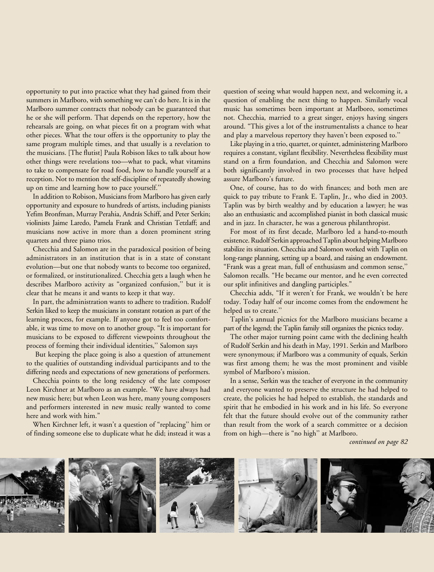opportunity to put into practice what they had gained from their summers in Marlboro, with something we can't do here. It is in the Marlboro summer contracts that nobody can be guaranteed that he or she will perform. That depends on the repertory, how the rehearsals are going, on what pieces fit on a program with what other pieces. What the tour offers is the opportunity to play the same program multiple times, and that usually is a revelation to the musicians. [The flutist] Paula Robison likes to talk about how other things were revelations too—what to pack, what vitamins to take to compensate for road food, how to handle yourself at a reception. Not to mention the self-discipline of repeatedly showing up on time and learning how to pace yourself.''

In addition to Robison, Musicians from Marlboro has given early opportunity and exposure to hundreds of artists, including pianists Yefim Bronfman, Murray Perahia, András Schiff, and Peter Serkin; violinists Jaime Laredo, Pamela Frank and Christian Tetzlaff; and musicians now active in more than a dozen prominent string quartets and three piano trios.

Checchia and Salomon are in the paradoxical position of being administrators in an institution that is in a state of constant evolution—but one that nobody wants to become too organized, or formalized, or institutionalized. Checchia gets a laugh when he describes Marlboro activity as "organized confusion,'' but it is clear that he means it and wants to keep it that way.

In part, the administration wants to adhere to tradition. Rudolf Serkin liked to keep the musicians in constant rotation as part of the learning process, for example. If anyone got to feel too comfortable, it was time to move on to another group. "It is important for musicians to be exposed to different viewpoints throughout the process of forming their individual identities,'' Salomon says

 But keeping the place going is also a question of attunement to the qualities of outstanding individual participants and to the differing needs and expectations of new generations of performers.

Checchia points to the long residency of the late composer Leon Kirchner at Marlboro as an example. "We have always had new music here; but when Leon was here, many young composers and performers interested in new music really wanted to come here and work with him."

When Kirchner left, it wasn't a question of "replacing'' him or of finding someone else to duplicate what he did; instead it was a

question of seeing what would happen next, and welcoming it, a question of enabling the next thing to happen. Similarly vocal music has sometimes been important at Marlboro, sometimes not. Checchia, married to a great singer, enjoys having singers around. "This gives a lot of the instrumentalists a chance to hear and play a marvelous repertory they haven't been exposed to.''

Like playing in a trio, quartet, or quintet, administering Marlboro requires a constant, vigilant flexibility. Nevertheless flexibility must stand on a firm foundation, and Checchia and Salomon were both significantly involved in two processes that have helped assure Marlboro's future.

One, of course, has to do with finances; and both men are quick to pay tribute to Frank E. Taplin, Jr., who died in 2003. Taplin was by birth wealthy and by education a lawyer; he was also an enthusiastic and accomplished pianist in both classical music and in jazz. In character, he was a generous philanthropist.

For most of its first decade, Marlboro led a hand-to-mouth existence. Rudolf Serkin approached Taplin about helping Marlboro stabilize its situation. Checchia and Salomon worked with Taplin on long-range planning, setting up a board, and raising an endowment. "Frank was a great man, full of enthusiasm and common sense,'' Salomon recalls. "He became our mentor, and he even corrected our split infinitives and dangling participles."

Checchia adds, "If it weren't for Frank, we wouldn't be here today. Today half of our income comes from the endowment he helped us to create.''

Taplin's annual picnics for the Marlboro musicians became a part of the legend; the Taplin family still organizes the picnics today.

The other major turning point came with the declining health of Rudolf Serkin and his death in May, 1991. Serkin and Marlboro were synonymous; if Marlboro was a community of equals, Serkin was first among them; he was the most prominent and visible symbol of Marlboro's mission.

In a sense, Serkin was the teacher of everyone in the community and everyone wanted to preserve the structure he had helped to create, the policies he had helped to establish, the standards and spirit that he embodied in his work and in his life. So everyone felt that the future should evolve out of the community rather than result from the work of a search committee or a decision from on high—there is "no high'' at Marlboro.

*continued on page 82*